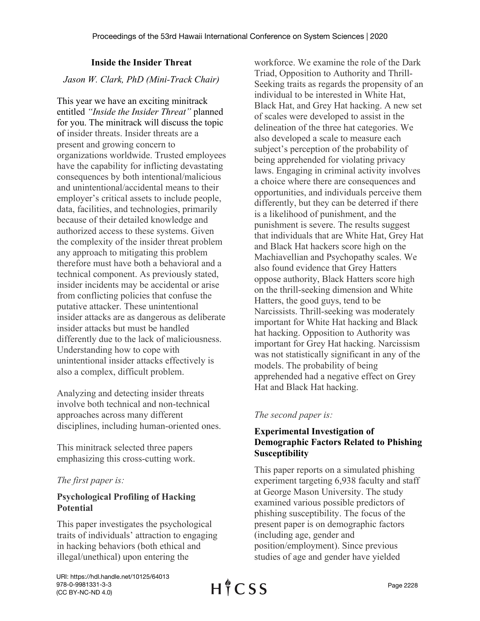# **Inside the Insider Threat**

*Jason W. Clark, PhD (Mini-Track Chair)*

This year we have an exciting minitrack entitled *"Inside the Insider Threat"* planned for you. The minitrack will discuss the topic of insider threats. Insider threats are a present and growing concern to organizations worldwide. Trusted employees have the capability for inflicting devastating consequences by both intentional/malicious and unintentional/accidental means to their employer's critical assets to include people, data, facilities, and technologies, primarily because of their detailed knowledge and authorized access to these systems. Given the complexity of the insider threat problem any approach to mitigating this problem therefore must have both a behavioral and a technical component. As previously stated, insider incidents may be accidental or arise from conflicting policies that confuse the putative attacker. These unintentional insider attacks are as dangerous as deliberate insider attacks but must be handled differently due to the lack of maliciousness. Understanding how to cope with unintentional insider attacks effectively is also a complex, difficult problem.

Analyzing and detecting insider threats involve both technical and non-technical approaches across many different disciplines, including human-oriented ones.

This minitrack selected three papers emphasizing this cross-cutting work.

# *The first paper is:*

# **Psychological Profiling of Hacking Potential**

This paper investigates the psychological traits of individuals' attraction to engaging in hacking behaviors (both ethical and illegal/unethical) upon entering the

workforce. We examine the role of the Dark Triad, Opposition to Authority and Thrill-Seeking traits as regards the propensity of an individual to be interested in White Hat, Black Hat, and Grey Hat hacking. A new set of scales were developed to assist in the delineation of the three hat categories. We also developed a scale to measure each subject's perception of the probability of being apprehended for violating privacy laws. Engaging in criminal activity involves a choice where there are consequences and opportunities, and individuals perceive them differently, but they can be deterred if there is a likelihood of punishment, and the punishment is severe. The results suggest that individuals that are White Hat, Grey Hat and Black Hat hackers score high on the Machiavellian and Psychopathy scales. We also found evidence that Grey Hatters oppose authority, Black Hatters score high on the thrill-seeking dimension and White Hatters, the good guys, tend to be Narcissists. Thrill-seeking was moderately important for White Hat hacking and Black hat hacking. Opposition to Authority was important for Grey Hat hacking. Narcissism was not statistically significant in any of the models. The probability of being apprehended had a negative effect on Grey Hat and Black Hat hacking.

### *The second paper is:*

# **Experimental Investigation of Demographic Factors Related to Phishing Susceptibility**

This paper reports on a simulated phishing experiment targeting 6,938 faculty and staff at George Mason University. The study examined various possible predictors of phishing susceptibility. The focus of the present paper is on demographic factors (including age, gender and position/employment). Since previous studies of age and gender have yielded

URI: https://hdl.handle.net/10125/64013 978-0-9981331-3-3 (CC BY-NC-ND 4.0)